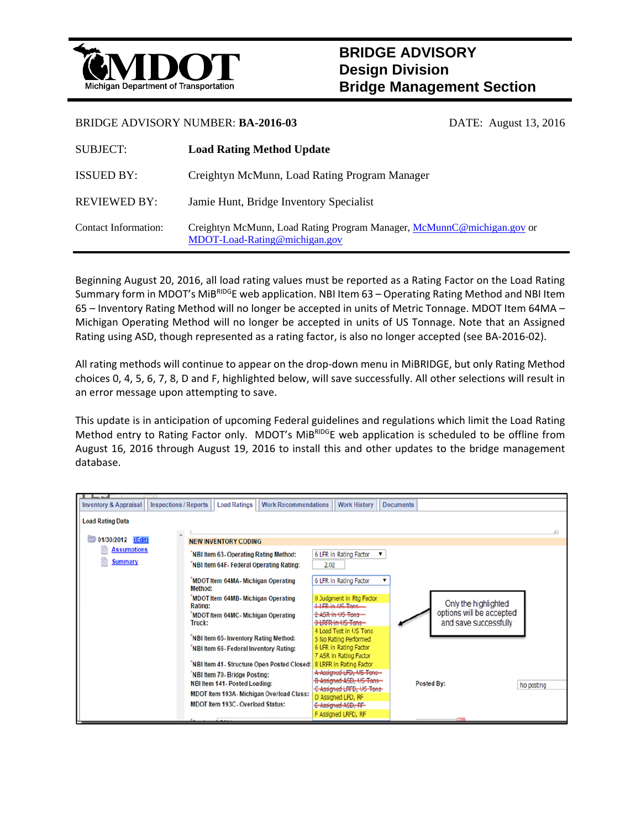

## **BRIDGE ADVISORY Design Division Bridge Management Section**

## BRIDGE ADVISORY NUMBER: **BA-2016-03** DATE: August 13, 2016

| <b>SUBJECT:</b>      | <b>Load Rating Method Update</b>                                                                        |
|----------------------|---------------------------------------------------------------------------------------------------------|
| <b>ISSUED BY:</b>    | Creightyn McMunn, Load Rating Program Manager                                                           |
| <b>REVIEWED BY:</b>  | Jamie Hunt, Bridge Inventory Specialist                                                                 |
| Contact Information: | Creightyn McMunn, Load Rating Program Manager, McMunnC@michigan.gov or<br>MDOT-Load-Rating@michigan.gov |

Beginning August 20, 2016, all load rating values must be reported as a Rating Factor on the Load Rating Summary form in MDOT's MiBRIDGE web application. NBI Item 63 – Operating Rating Method and NBI Item 65 – Inventory Rating Method will no longer be accepted in units of Metric Tonnage. MDOT Item 64MA – Michigan Operating Method will no longer be accepted in units of US Tonnage. Note that an Assigned Rating using ASD, though represented as a rating factor, is also no longer accepted (see BA‐2016‐02).

All rating methods will continue to appear on the drop‐down menu in MiBRIDGE, but only Rating Method choices 0, 4, 5, 6, 7, 8, D and F, highlighted below, will save successfully. All other selections will result in an error message upon attempting to save.

This update is in anticipation of upcoming Federal guidelines and regulations which limit the Load Rating Method entry to Rating Factor only. MDOT's MiBRIDGE web application is scheduled to be offline from August 16, 2016 through August 19, 2016 to install this and other updates to the bridge management database.

| <b>Inspections / Reports</b><br><b>Inventory &amp; Appraisal</b> | <b>Load Ratings</b><br><b>Work Recommendations</b>                                                                                                                                                                                                                              | <b>Work History</b>                                                                                                                                                                                                                                                             | <b>Documents</b>                                                          |            |
|------------------------------------------------------------------|---------------------------------------------------------------------------------------------------------------------------------------------------------------------------------------------------------------------------------------------------------------------------------|---------------------------------------------------------------------------------------------------------------------------------------------------------------------------------------------------------------------------------------------------------------------------------|---------------------------------------------------------------------------|------------|
| <b>Load Rating Data</b><br>01/30/2012 (Edit)                     | <b>NEW INVENTORY CODING</b>                                                                                                                                                                                                                                                     |                                                                                                                                                                                                                                                                                 |                                                                           | 48         |
| <b>Assumptions</b><br><b>Summary</b>                             | NBI Item 63- Operating Rating Method:<br>NBI Item 64F- Federal Operating Rating:                                                                                                                                                                                                | 6 LFR in Rating Factor<br>2.02                                                                                                                                                                                                                                                  |                                                                           |            |
|                                                                  | 'MDOT Item 64MA- Michigan Operating<br>Method:<br>MDOT Item 64MB- Michigan Operating<br>Rating:<br>MDOT Item 64MC-Michigan Operating<br>Truck:<br>NBI Item 65- Inventory Rating Method:<br>NBI Item 66- Federal Inventory Rating:<br>NBI Item 41- Structure Open Posted Closed: | 6 LFR in Rating Factor<br>0 Judgment in Rtg Factor<br>1 LFR in LIS Tons<br>2-ASR-in-US-Tons-<br>3 LRFR in US Tons<br>4 Load Test in US Tons<br>5 No Rating Performed<br>6 LFR in Rating Factor<br>7 ASR in Rating Factor<br>8 LRFR in Rating Factor<br>A Assigned LFD, US Tons- | Only the highlighted<br>options will be accepted<br>and save successfully |            |
|                                                                  | NBI Item 70- Bridge Posting:<br>NBI Item 141- Posted Loading:<br>MDOT Item 193A- Michigan Overload Class:<br><b>MDOT Item 193C- Overload Status:</b>                                                                                                                            | <b>B-Assigned ASD, US-Tons-</b><br>C-Assigned LRFD, US Tons-<br>D Assigned LFD, RF<br>E-Assigned ASD, RF<br>F Assigned LRFD, RF                                                                                                                                                 | Posted By:                                                                | No posting |